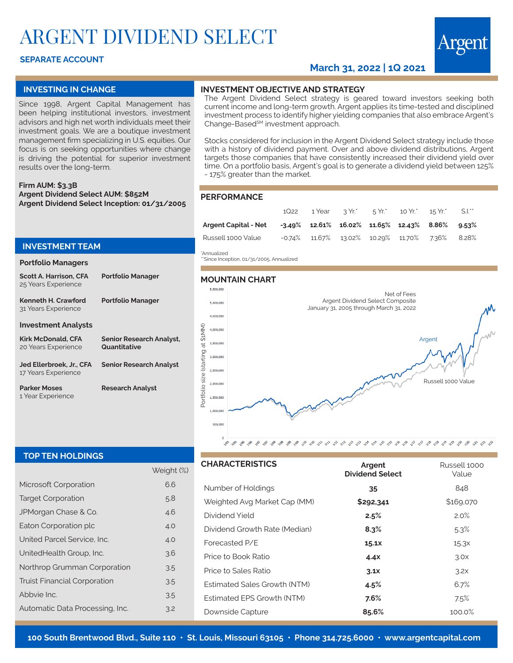# ARGENT DIVIDEND SELECT

## **SEPARATE ACCOUNT**

# **March 31, 2022 | 1Q 2021**

## **INVESTING IN CHANGE**

Since 1998, Argent Capital Management has been helping institutional investors, investment advisors and high net worth individuals meet their investment goals. We are a boutique investment management firm specializing in U.S. equities. Our focus is on seeking opportunities where change is driving the potential for superior investment results over the long-term.

**Firm AUM: \$3.3B Argent Dividend Select AUM: \$852M Argent Dividend Select Inception: 01/31/2005**

## **INVESTMENT TEAM**

### **Portfolio Managers**

| <b>Scott A. Harrison, CFA</b><br>25 Years Experience | <b>Portfolio Manager</b>                        |
|------------------------------------------------------|-------------------------------------------------|
| Kenneth H. Crawford<br>31 Years Experience           | <b>Portfolio Manager</b>                        |
| <b>Investment Analysts</b>                           |                                                 |
| <b>Kirk McDonald, CFA</b><br>20 Years Experience     | <b>Senior Research Analyst,</b><br>Quantitative |
| Jed Ellerbroek, Jr., CFA<br>17 Years Experience      | <b>Senior Research Analyst</b>                  |
| <b>Parker Moses</b><br>1 Year Experience             | <b>Research Analyst</b>                         |

# **INVESTMENT OBJECTIVE AND STRATEGY**

The Argent Dividend Select strategy is geared toward investors seeking both current income and long-term growth. Argent applies its time-tested and disciplined investment process to identify higher yielding companies that also embrace Argent's Change-Based<sup>sM</sup> investment approach.

Stocks considered for inclusion in the Argent Dividend Select strategy include those with a history of dividend payment. Over and above dividend distributions, Argent targets those companies that have consistently increased their dividend yield over time. On a portfolio basis, Argent's goal is to generate a dividend yield between 125% - 175% greater than the market.

#### **PERFORMANCE**

|                                                                     |  |  | 1Q22 1 Year 3 Yr. 5 Yr. 10 Yr. 15 Yr. 5.1.        |  |
|---------------------------------------------------------------------|--|--|---------------------------------------------------|--|
| Argent Capital - Net -3.49% 12.61% 16.02% 11.65% 12.43% 8.86% 9.53% |  |  |                                                   |  |
| Russell 1000 Value                                                  |  |  | $-0.74\%$ 11.67% 13.02% 10.29% 11.70% 7.36% 8.28% |  |

\*Annualized

\*\*Since Inception, 01/31/2005, Annualized

### **MOUNTAIN CHART**



### **TOP TEN HOLDINGS**

|                                     | Weight (%) |  |
|-------------------------------------|------------|--|
| Microsoft Corporation               | 6.6        |  |
| <b>Target Corporation</b>           | 5.8        |  |
| JPMorgan Chase & Co.                | 4.6        |  |
| Eaton Corporation plc               | 4.0        |  |
| United Parcel Service, Inc.         | 4.0        |  |
| UnitedHealth Group, Inc.            | 3.6        |  |
| Northrop Grumman Corporation        | 3.5        |  |
| <b>Truist Financial Corporation</b> | 3.5        |  |
| Abbyje Inc.                         | 3.5        |  |
| Automatic Data Processing, Inc.     | 3.2        |  |

| <b>CHARACTERISTICS</b>        | Argent<br><b>Dividend Select</b> | Russell 1000<br>Value |
|-------------------------------|----------------------------------|-----------------------|
| Number of Holdings            | 35                               | 848                   |
| Weighted Avg Market Cap (MM)  | \$292,341                        | \$169,070             |
| Dividend Yield                | 2.5%                             | 2.0%                  |
| Dividend Growth Rate (Median) | 8.3%                             | $5.3\%$               |
| Forecasted P/E                | 15.1X                            | 15.3x                 |
| Price to Book Ratio           | 4.4X                             | 3.0x                  |
| Price to Sales Ratio          | 3.1x                             | 3.2x                  |
| Estimated Sales Growth (NTM)  | 4.5%                             | 6.7%                  |
| Estimated EPS Growth (NTM)    | 7.6%                             | 7.5%                  |
| Downside Capture              | 85.6%                            | 100.0%                |